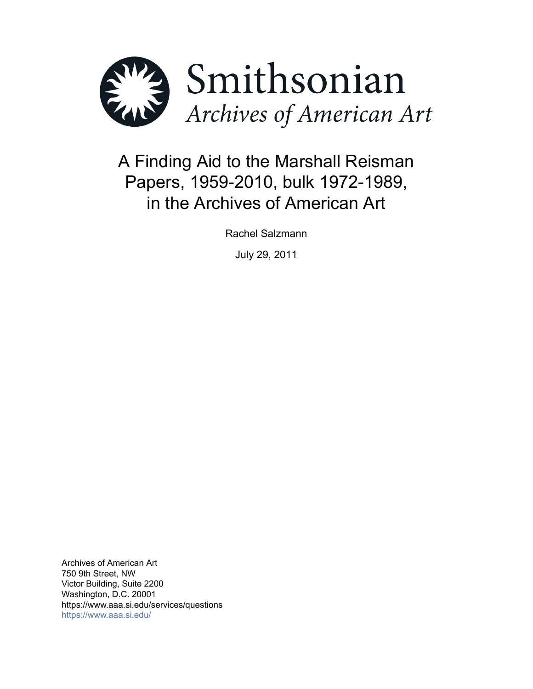

# A Finding Aid to the Marshall Reisman Papers, 1959-2010, bulk 1972-1989, in the Archives of American Art

Rachel Salzmann

July 29, 2011

Archives of American Art 750 9th Street, NW Victor Building, Suite 2200 Washington, D.C. 20001 https://www.aaa.si.edu/services/questions <https://www.aaa.si.edu/>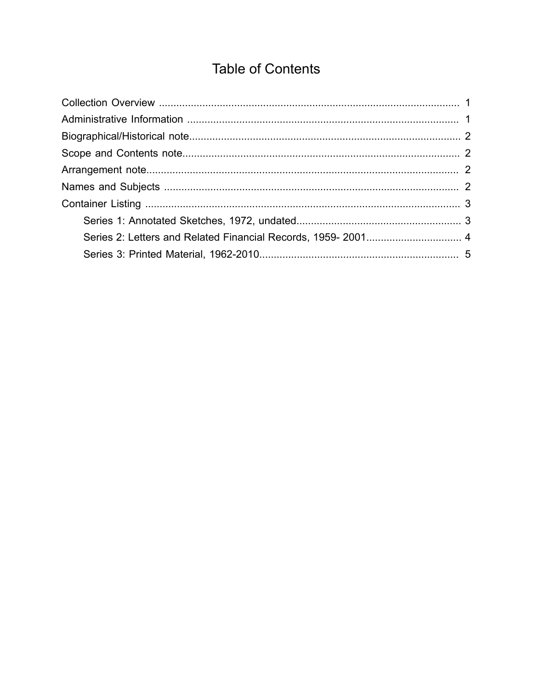## **Table of Contents**

<span id="page-1-0"></span>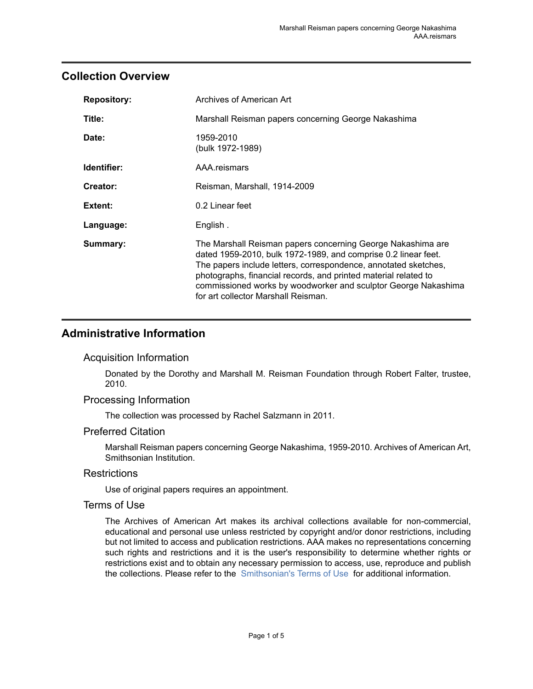#### <span id="page-2-0"></span>**Collection Overview**

| <b>Repository:</b> | Archives of American Art                                                                                                                                                                                                                                                                                                                                                     |
|--------------------|------------------------------------------------------------------------------------------------------------------------------------------------------------------------------------------------------------------------------------------------------------------------------------------------------------------------------------------------------------------------------|
| Title:             | Marshall Reisman papers concerning George Nakashima                                                                                                                                                                                                                                                                                                                          |
| Date:              | 1959-2010<br>(bulk 1972-1989)                                                                                                                                                                                                                                                                                                                                                |
| Identifier:        | AAA.reismars                                                                                                                                                                                                                                                                                                                                                                 |
| Creator:           | Reisman, Marshall, 1914-2009                                                                                                                                                                                                                                                                                                                                                 |
| Extent:            | 0.2 Linear feet                                                                                                                                                                                                                                                                                                                                                              |
| Language:          | English.                                                                                                                                                                                                                                                                                                                                                                     |
| Summary:           | The Marshall Reisman papers concerning George Nakashima are<br>dated 1959-2010, bulk 1972-1989, and comprise 0.2 linear feet.<br>The papers include letters, correspondence, annotated sketches,<br>photographs, financial records, and printed material related to<br>commissioned works by woodworker and sculptor George Nakashima<br>for art collector Marshall Reisman. |

## <span id="page-2-1"></span>**Administrative Information**

#### Acquisition Information

Donated by the Dorothy and Marshall M. Reisman Foundation through Robert Falter, trustee, 2010.

#### Processing Information

The collection was processed by Rachel Salzmann in 2011.

#### Preferred Citation

Marshall Reisman papers concerning George Nakashima, 1959-2010. Archives of American Art, Smithsonian Institution.

#### **Restrictions**

Use of original papers requires an appointment.

#### Terms of Use

The Archives of American Art makes its archival collections available for non-commercial, educational and personal use unless restricted by copyright and/or donor restrictions, including but not limited to access and publication restrictions. AAA makes no representations concerning such rights and restrictions and it is the user's responsibility to determine whether rights or restrictions exist and to obtain any necessary permission to access, use, reproduce and publish the collections. Please refer to the [Smithsonian's](https://www.si.edu/termsofuse) Terms of Use for additional information.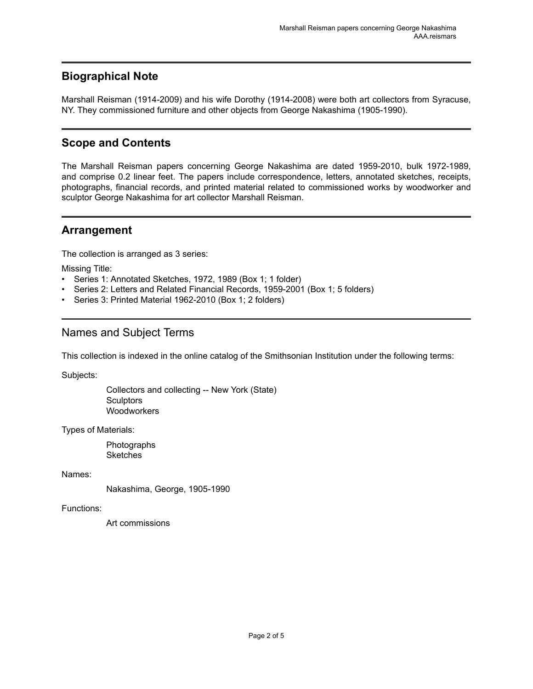## <span id="page-3-0"></span>**Biographical Note**

Marshall Reisman (1914-2009) and his wife Dorothy (1914-2008) were both art collectors from Syracuse, NY. They commissioned furniture and other objects from George Nakashima (1905-1990).

## <span id="page-3-1"></span>**Scope and Contents**

The Marshall Reisman papers concerning George Nakashima are dated 1959-2010, bulk 1972-1989, and comprise 0.2 linear feet. The papers include correspondence, letters, annotated sketches, receipts, photographs, financial records, and printed material related to commissioned works by woodworker and sculptor George Nakashima for art collector Marshall Reisman.

#### <span id="page-3-2"></span>**Arrangement**

The collection is arranged as 3 series:

Missing Title:

- Series 1: Annotated Sketches, 1972, 1989 (Box 1; 1 folder)
- Series 2: Letters and Related Financial Records, 1959-2001 (Box 1; 5 folders)
- Series 3: Printed Material 1962-2010 (Box 1; 2 folders)

## <span id="page-3-3"></span>Names and Subject Terms

This collection is indexed in the online catalog of the Smithsonian Institution under the following terms:

Subjects:

Collectors and collecting -- New York (State) **Sculptors** Woodworkers

Types of Materials:

Photographs **Sketches** 

Names:

Nakashima, George, 1905-1990

Functions:

Art commissions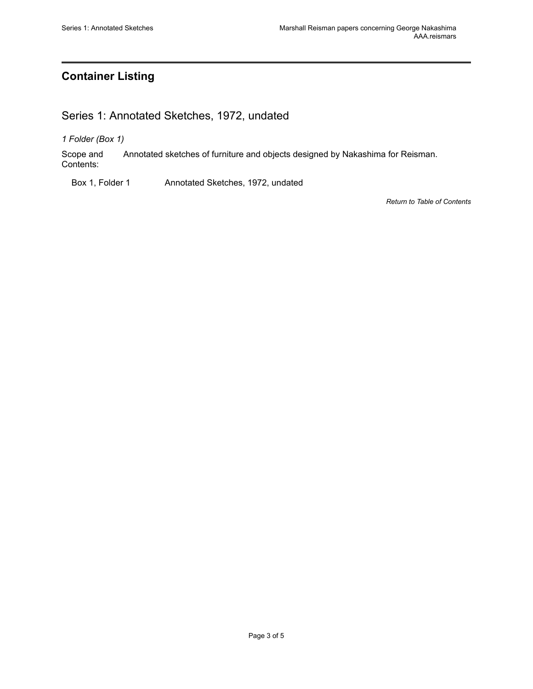## <span id="page-4-0"></span>**Container Listing**

## <span id="page-4-1"></span>Series 1: Annotated Sketches, 1972, undated

*1 Folder (Box 1)*

Scope and Contents: Annotated sketches of furniture and objects designed by Nakashima for Reisman.

Box 1, Folder 1 Annotated Sketches, 1972, undated

*Return to Table of [Contents](#page-1-0)*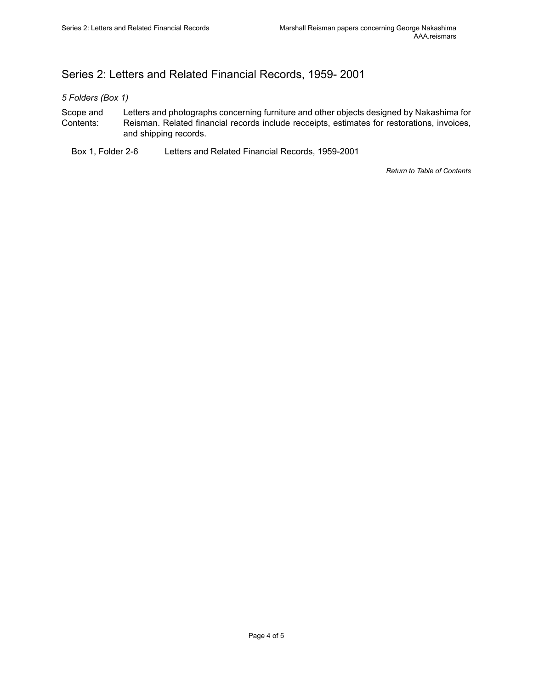## <span id="page-5-0"></span>Series 2: Letters and Related Financial Records, 1959- 2001

*5 Folders (Box 1)*

- Scope and Contents: Letters and photographs concerning furniture and other objects designed by Nakashima for Reisman. Related financial records include recceipts, estimates for restorations, invoices, and shipping records.
	- Box 1, Folder 2-6 Letters and Related Financial Records, 1959-2001

*Return to Table of [Contents](#page-1-0)*